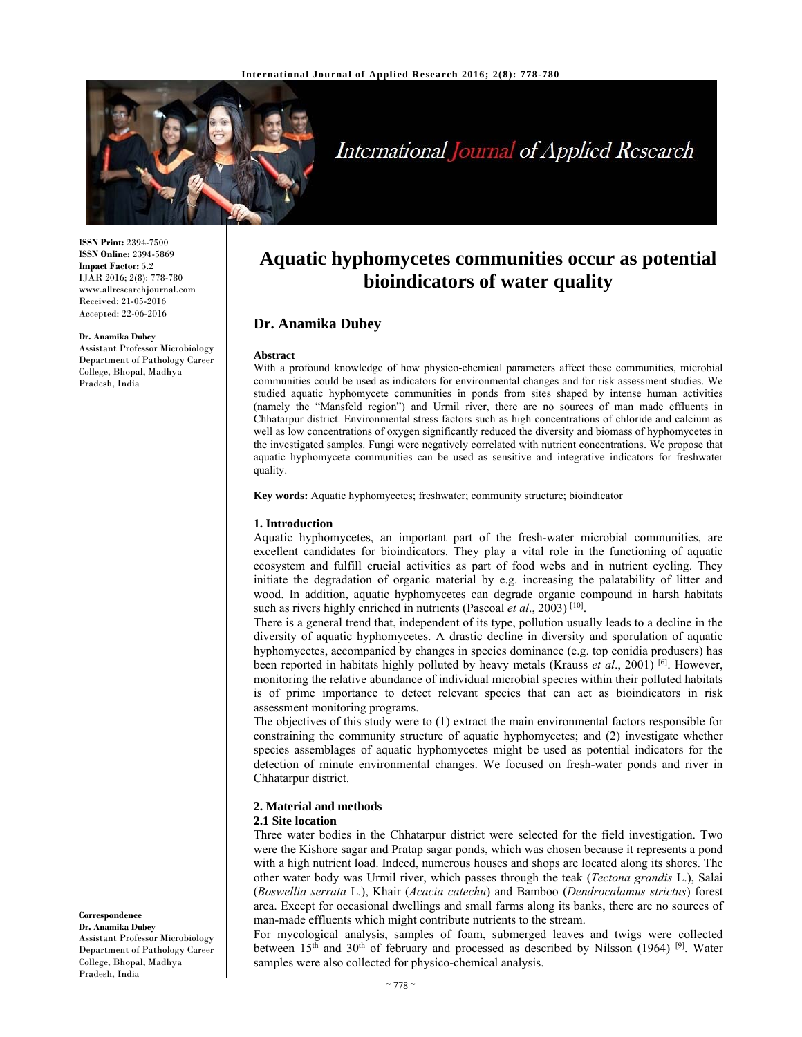

# International Journal of Applied Research

**ISSN Print:** 2394-7500 **ISSN Online:** 2394-5869 **Impact Factor:** 5.2 IJAR 2016; 2(8): 778-780 www.allresearchjournal.com Received: 21-05-2016 Accepted: 22-06-2016

### **Dr. Anamika Dubey**

Assistant Professor Microbiology Department of Pathology Career College, Bhopal, Madhya Pradesh, India

## **Aquatic hyphomycetes communities occur as potential bioindicators of water quality**

### **Dr. Anamika Dubey**

### **Abstract**

With a profound knowledge of how physico-chemical parameters affect these communities, microbial communities could be used as indicators for environmental changes and for risk assessment studies. We studied aquatic hyphomycete communities in ponds from sites shaped by intense human activities (namely the "Mansfeld region") and Urmil river, there are no sources of man made effluents in Chhatarpur district. Environmental stress factors such as high concentrations of chloride and calcium as well as low concentrations of oxygen significantly reduced the diversity and biomass of hyphomycetes in the investigated samples. Fungi were negatively correlated with nutrient concentrations. We propose that aquatic hyphomycete communities can be used as sensitive and integrative indicators for freshwater quality.

**Key words:** Aquatic hyphomycetes; freshwater; community structure; bioindicator

### **1. Introduction**

Aquatic hyphomycetes, an important part of the fresh-water microbial communities, are excellent candidates for bioindicators. They play a vital role in the functioning of aquatic ecosystem and fulfill crucial activities as part of food webs and in nutrient cycling. They initiate the degradation of organic material by e.g. increasing the palatability of litter and wood. In addition, aquatic hyphomycetes can degrade organic compound in harsh habitats such as rivers highly enriched in nutrients (Pascoal *et al.*, 2003)<sup>[10]</sup>.

There is a general trend that, independent of its type, pollution usually leads to a decline in the diversity of aquatic hyphomycetes. A drastic decline in diversity and sporulation of aquatic hyphomycetes, accompanied by changes in species dominance (e.g. top conidia produsers) has been reported in habitats highly polluted by heavy metals (Krauss *et al*., 2001) [6]. However, monitoring the relative abundance of individual microbial species within their polluted habitats is of prime importance to detect relevant species that can act as bioindicators in risk assessment monitoring programs.

The objectives of this study were to (1) extract the main environmental factors responsible for constraining the community structure of aquatic hyphomycetes; and (2) investigate whether species assemblages of aquatic hyphomycetes might be used as potential indicators for the detection of minute environmental changes. We focused on fresh-water ponds and river in Chhatarpur district.

### **2. Material and methods**

### **2.1 Site location**

Three water bodies in the Chhatarpur district were selected for the field investigation. Two were the Kishore sagar and Pratap sagar ponds, which was chosen because it represents a pond with a high nutrient load. Indeed, numerous houses and shops are located along its shores. The other water body was Urmil river, which passes through the teak (*Tectona grandis* L.), Salai (*Boswellia serrata* L*.*), Khair (*Acacia catechu*) and Bamboo (*Dendrocalamus strictus*) forest area. Except for occasional dwellings and small farms along its banks, there are no sources of man-made effluents which might contribute nutrients to the stream.

For mycological analysis, samples of foam, submerged leaves and twigs were collected between  $15<sup>th</sup>$  and  $30<sup>th</sup>$  of february and processed as described by Nilsson (1964) <sup>[9]</sup>. Water samples were also collected for physico-chemical analysis.

### **Correspondence**

**Dr. Anamika Dubey** Assistant Professor Microbiology Department of Pathology Career College, Bhopal, Madhya Pradesh, India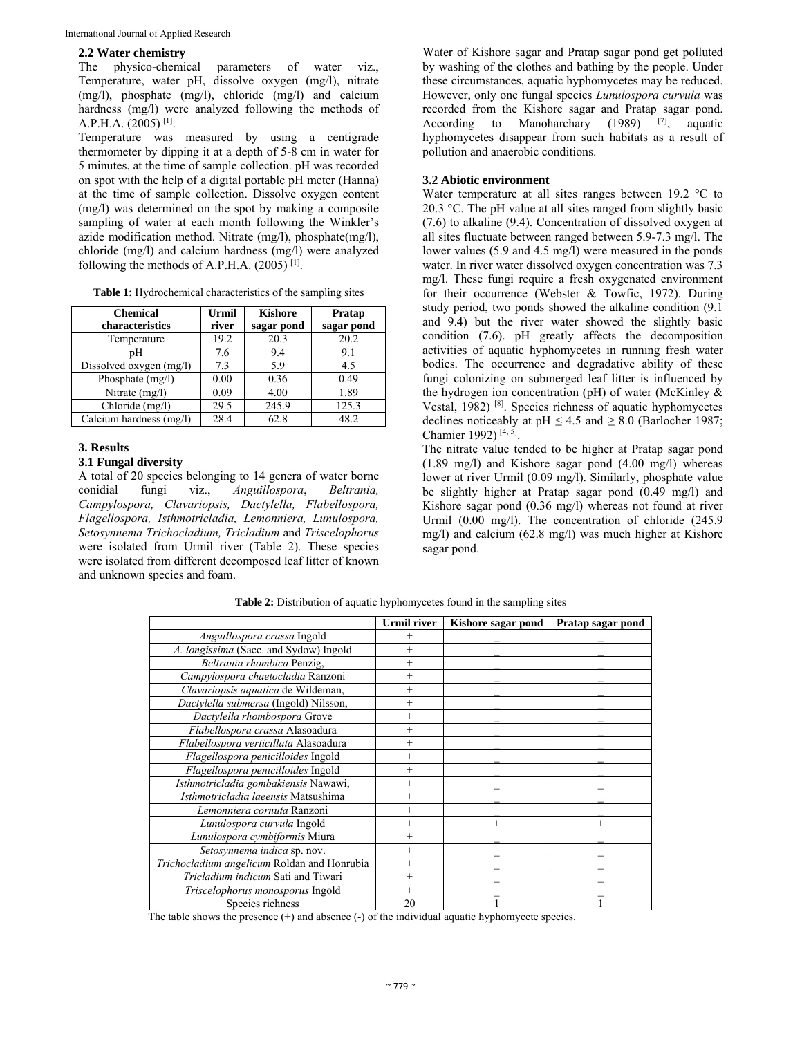**2.2 Water chemistry**  parameters of water viz., Temperature, water pH, dissolve oxygen (mg/l), nitrate (mg/l), phosphate (mg/l), chloride (mg/l) and calcium hardness (mg/l) were analyzed following the methods of A.P.H.A. (2005) [1].

Temperature was measured by using a centigrade thermometer by dipping it at a depth of 5-8 cm in water for 5 minutes, at the time of sample collection. pH was recorded on spot with the help of a digital portable pH meter (Hanna) at the time of sample collection. Dissolve oxygen content (mg/l) was determined on the spot by making a composite sampling of water at each month following the Winkler's azide modification method. Nitrate (mg/l), phosphate(mg/l), chloride (mg/l) and calcium hardness (mg/l) were analyzed following the methods of A.P.H.A. (2005) [1].

| <b>Chemical</b><br>characteristics | Urmil<br>river | <b>Kishore</b><br>sagar pond | Pratap<br>sagar pond |
|------------------------------------|----------------|------------------------------|----------------------|
| Temperature                        | 19.2           | 20.3                         | 20.2                 |
| pН                                 | 7.6            | 9.4                          | 9.1                  |
| Dissolved oxygen (mg/l)            | 7.3            | 5.9                          | 4.5                  |
| Phosphate (mg/l)                   | 0.00           | 0.36                         | 0.49                 |
| Nitrate (mg/l)                     | 0.09           | 4.00                         | 1.89                 |
| Chloride (mg/l)                    | 29.5           | 245.9                        | 125.3                |
| Calcium hardness (mg/l)            | 28.4           | 62.8                         | 48.2                 |

**Table 1:** Hydrochemical characteristics of the sampling sites

### **3. Results**

### **3.1 Fungal diversity**

A total of 20 species belonging to 14 genera of water borne conidial fungi viz., *Anguillospora*, *Beltrania, Campylospora, Clavariopsis, Dactylella, Flabellospora, Flagellospora, Isthmotricladia, Lemonniera, Lunulospora, Setosynnema Trichocladium, Tricladium* and *Triscelophorus* were isolated from Urmil river (Table 2). These species were isolated from different decomposed leaf litter of known and unknown species and foam.

Water of Kishore sagar and Pratap sagar pond get polluted by washing of the clothes and bathing by the people. Under these circumstances, aquatic hyphomycetes may be reduced. However, only one fungal species *Lunulospora curvula* was recorded from the Kishore sagar and Pratap sagar pond. According to Manoharchary (1989)  $[7]$ , aquatic hyphomycetes disappear from such habitats as a result of pollution and anaerobic conditions.

### **3.2 Abiotic environment**

Water temperature at all sites ranges between 19.2 °C to 20.3 °C. The pH value at all sites ranged from slightly basic (7.6) to alkaline (9.4). Concentration of dissolved oxygen at all sites fluctuate between ranged between 5.9-7.3 mg/l. The lower values (5.9 and 4.5 mg/l) were measured in the ponds water. In river water dissolved oxygen concentration was 7.3 mg/l. These fungi require a fresh oxygenated environment for their occurrence (Webster & Towfic, 1972). During study period, two ponds showed the alkaline condition (9.1 and 9.4) but the river water showed the slightly basic condition (7.6). pH greatly affects the decomposition activities of aquatic hyphomycetes in running fresh water bodies. The occurrence and degradative ability of these fungi colonizing on submerged leaf litter is influenced by the hydrogen ion concentration (pH) of water (McKinley & Vestal, 1982) [8]. Species richness of aquatic hyphomycetes declines noticeably at  $pH \leq 4.5$  and  $\geq 8.0$  (Barlocher 1987; Chamier 1992) [4, 5].

The nitrate value tended to be higher at Pratap sagar pond (1.89 mg/l) and Kishore sagar pond (4.00 mg/l) whereas lower at river Urmil (0.09 mg/l). Similarly, phosphate value be slightly higher at Pratap sagar pond (0.49 mg/l) and Kishore sagar pond (0.36 mg/l) whereas not found at river Urmil (0.00 mg/l). The concentration of chloride (245.9 mg/l) and calcium (62.8 mg/l) was much higher at Kishore sagar pond.

|                                             | <b>Urmil river</b> | Kishore sagar pond | Pratap sagar pond |
|---------------------------------------------|--------------------|--------------------|-------------------|
| Anguillospora crassa Ingold                 | $+$                |                    |                   |
| A. longissima (Sacc. and Sydow) Ingold      | $^{+}$             |                    |                   |
| Beltrania rhombica Penzig,                  | $^{+}$             |                    |                   |
| Campylospora chaetocladia Ranzoni           | $^{+}$             |                    |                   |
| Clavariopsis aquatica de Wildeman,          | $+$                |                    |                   |
| Dactylella submersa (Ingold) Nilsson,       | $^{+}$             |                    |                   |
| Dactylella rhombospora Grove                | $+$                |                    |                   |
| Flabellospora crassa Alasoadura             | $+$                |                    |                   |
| Flabellospora verticillata Alasoadura       | $^{+}$             |                    |                   |
| Flagellospora penicilloides Ingold          | $^{+}$             |                    |                   |
| Flagellospora penicilloides Ingold          | $^{+}$             |                    |                   |
| Isthmotricladia gombakiensis Nawawi,        | $+$                |                    |                   |
| Isthmotricladia laeensis Matsushima         | $^{+}$             |                    |                   |
| Lemonniera cornuta Ranzoni                  | $+$                |                    |                   |
| Lunulospora curvula Ingold                  | $+$                | $^{+}$             | $^{+}$            |
| Lunulospora cymbiformis Miura               | $^{+}$             |                    |                   |
| Setosynnema indica sp. nov.                 | $^{+}$             |                    |                   |
| Trichocladium angelicum Roldan and Honrubia | $+$                |                    |                   |
| Tricladium indicum Sati and Tiwari          | $+$                |                    |                   |
| Triscelophorus monosporus Ingold            | $+$                |                    |                   |
| Species richness                            | 20                 |                    |                   |

**Table 2:** Distribution of aquatic hyphomycetes found in the sampling sites

The table shows the presence  $(+)$  and absence  $(-)$  of the individual aquatic hyphomycete species.